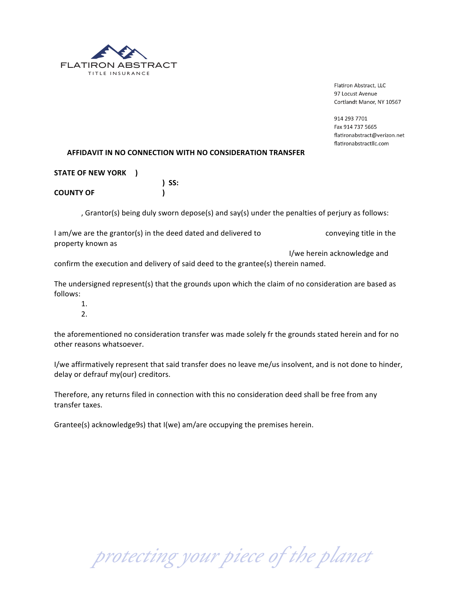

Flatiron Abstract, LLC 97 Locust Avenue Cortlandt Manor, NY 10567

914 293 7701 Fax 914 737 5665 flatironabstract@verizon.net flatironabstractllc.com

## AFFIDAVIT IN NO CONNECTION WITH NO CONSIDERATION TRANSFER

| STATE OF NEW YORK ) |            |
|---------------------|------------|
|                     | $\sum$ SS: |
| <b>COUNTY OF</b>    |            |

, Grantor(s) being duly sworn depose(s) and say(s) under the penalties of perjury as follows:

| I am/we are the grantor(s) in the deed dated and delivered to | conveying title in the      |
|---------------------------------------------------------------|-----------------------------|
| property known as                                             |                             |
|                                                               | I/we herein acknowledge and |

confirm the execution and delivery of said deed to the grantee(s) therein named.

The undersigned represent(s) that the grounds upon which the claim of no consideration are based as follows:

- $1<sub>1</sub>$
- $2<sub>1</sub>$

the aforementioned no consideration transfer was made solely fr the grounds stated herein and for no other reasons whatsoever.

I/we affirmatively represent that said transfer does no leave me/us insolvent, and is not done to hinder, delay or defrauf my(our) creditors.

Therefore, any returns filed in connection with this no consideration deed shall be free from any transfer taxes.

Grantee(s) acknowledge9s) that I(we) am/are occupying the premises herein.

protecting your piece of the planet